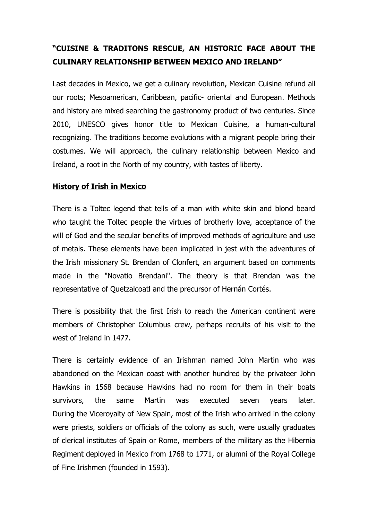# **"CUISINE & TRADITONS RESCUE, AN HISTORIC FACE ABOUT THE CULINARY RELATIONSHIP BETWEEN MEXICO AND IRELAND"**

Last decades in Mexico, we get a culinary revolution, Mexican Cuisine refund all our roots; Mesoamerican, Caribbean, pacific- oriental and European. Methods and history are mixed searching the gastronomy product of two centuries. Since 2010, UNESCO gives honor title to Mexican Cuisine, a human-cultural recognizing. The traditions become evolutions with a migrant people bring their costumes. We will approach, the culinary relationship between Mexico and Ireland, a root in the North of my country, with tastes of liberty.

## **History of Irish in Mexico**

There is a Toltec legend that tells of a man with white skin and blond beard who taught the Toltec people the virtues of brotherly love, acceptance of the will of God and the secular benefits of improved methods of agriculture and use of metals. These elements have been implicated in jest with the adventures of the Irish missionary St. Brendan of Clonfert, an argument based on comments made in the "Novatio Brendani". The theory is that Brendan was the representative of Quetzalcoatl and the precursor of Hernán Cortés.

There is possibility that the first Irish to reach the American continent were members of Christopher Columbus crew, perhaps recruits of his visit to the west of Ireland in 1477.

There is certainly evidence of an Irishman named John Martin who was abandoned on the Mexican coast with another hundred by the privateer John Hawkins in 1568 because Hawkins had no room for them in their boats survivors, the same Martin was executed seven years later. During the Viceroyalty of New Spain, most of the Irish who arrived in the colony were priests, soldiers or officials of the colony as such, were usually graduates of clerical institutes of Spain or Rome, members of the military as the Hibernia Regiment deployed in Mexico from 1768 to 1771, or alumni of the Royal College of Fine Irishmen (founded in 1593).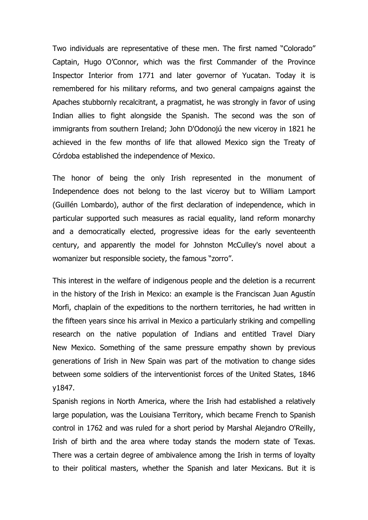Two individuals are representative of these men. The first named "Colorado" Captain, Hugo O'Connor, which was the first Commander of the Province Inspector Interior from 1771 and later governor of Yucatan. Today it is remembered for his military reforms, and two general campaigns against the Apaches stubbornly recalcitrant, a pragmatist, he was strongly in favor of using Indian allies to fight alongside the Spanish. The second was the son of immigrants from southern Ireland; John D'Odonojú the new viceroy in 1821 he achieved in the few months of life that allowed Mexico sign the Treaty of Córdoba established the independence of Mexico.

The honor of being the only Irish represented in the monument of Independence does not belong to the last viceroy but to William Lamport (Guillén Lombardo), author of the first declaration of independence, which in particular supported such measures as racial equality, land reform monarchy and a democratically elected, progressive ideas for the early seventeenth century, and apparently the model for Johnston McCulley's novel about a womanizer but responsible society, the famous "zorro".

This interest in the welfare of indigenous people and the deletion is a recurrent in the history of the Irish in Mexico: an example is the Franciscan Juan Agustín Morfi, chaplain of the expeditions to the northern territories, he had written in the fifteen years since his arrival in Mexico a particularly striking and compelling research on the native population of Indians and entitled Travel Diary New Mexico. Something of the same pressure empathy shown by previous generations of Irish in New Spain was part of the motivation to change sides between some soldiers of the interventionist forces of the United States, 1846 y1847.

Spanish regions in North America, where the Irish had established a relatively large population, was the Louisiana Territory, which became French to Spanish control in 1762 and was ruled for a short period by Marshal Alejandro O'Reilly, Irish of birth and the area where today stands the modern state of Texas. There was a certain degree of ambivalence among the Irish in terms of loyalty to their political masters, whether the Spanish and later Mexicans. But it is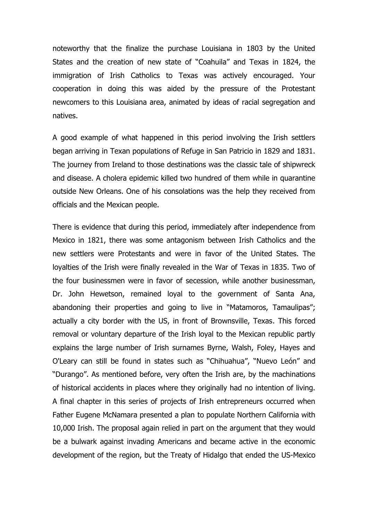noteworthy that the finalize the purchase Louisiana in 1803 by the United States and the creation of new state of "Coahuila" and Texas in 1824, the immigration of Irish Catholics to Texas was actively encouraged. Your cooperation in doing this was aided by the pressure of the Protestant newcomers to this Louisiana area, animated by ideas of racial segregation and natives.

A good example of what happened in this period involving the Irish settlers began arriving in Texan populations of Refuge in San Patricio in 1829 and 1831. The journey from Ireland to those destinations was the classic tale of shipwreck and disease. A cholera epidemic killed two hundred of them while in quarantine outside New Orleans. One of his consolations was the help they received from officials and the Mexican people.

There is evidence that during this period, immediately after independence from Mexico in 1821, there was some antagonism between Irish Catholics and the new settlers were Protestants and were in favor of the United States. The loyalties of the Irish were finally revealed in the War of Texas in 1835. Two of the four businessmen were in favor of secession, while another businessman, Dr. John Hewetson, remained loyal to the government of Santa Ana, abandoning their properties and going to live in "Matamoros, Tamaulipas"; actually a city border with the US, in front of Brownsville, Texas. This forced removal or voluntary departure of the Irish loyal to the Mexican republic partly explains the large number of Irish surnames Byrne, Walsh, Foley, Hayes and O'Leary can still be found in states such as "Chihuahua", "Nuevo León" and "Durango". As mentioned before, very often the Irish are, by the machinations of historical accidents in places where they originally had no intention of living. A final chapter in this series of projects of Irish entrepreneurs occurred when Father Eugene McNamara presented a plan to populate Northern California with 10,000 Irish. The proposal again relied in part on the argument that they would be a bulwark against invading Americans and became active in the economic development of the region, but the Treaty of Hidalgo that ended the US-Mexico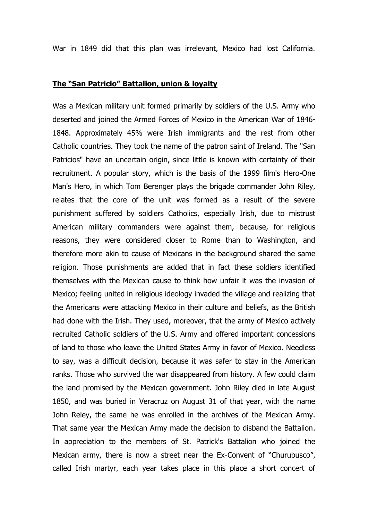War in 1849 did that this plan was irrelevant, Mexico had lost California.

#### **The "San Patricio" Battalion, union & loyalty**

Was a Mexican military unit formed primarily by soldiers of the U.S. Army who deserted and joined the Armed Forces of Mexico in the American War of 1846- 1848. Approximately 45% were Irish immigrants and the rest from other Catholic countries. They took the name of the patron saint of Ireland. The "San Patricios" have an uncertain origin, since little is known with certainty of their recruitment. A popular story, which is the basis of the 1999 film's Hero-One Man's Hero, in which Tom Berenger plays the brigade commander John Riley, relates that the core of the unit was formed as a result of the severe punishment suffered by soldiers Catholics, especially Irish, due to mistrust American military commanders were against them, because, for religious reasons, they were considered closer to Rome than to Washington, and therefore more akin to cause of Mexicans in the background shared the same religion. Those punishments are added that in fact these soldiers identified themselves with the Mexican cause to think how unfair it was the invasion of Mexico; feeling united in religious ideology invaded the village and realizing that the Americans were attacking Mexico in their culture and beliefs, as the British had done with the Irish. They used, moreover, that the army of Mexico actively recruited Catholic soldiers of the U.S. Army and offered important concessions of land to those who leave the United States Army in favor of Mexico. Needless to say, was a difficult decision, because it was safer to stay in the American ranks. Those who survived the war disappeared from history. A few could claim the land promised by the Mexican government. John Riley died in late August 1850, and was buried in Veracruz on August 31 of that year, with the name John Reley, the same he was enrolled in the archives of the Mexican Army. That same year the Mexican Army made the decision to disband the Battalion. In appreciation to the members of St. Patrick's Battalion who joined the Mexican army, there is now a street near the Ex-Convent of "Churubusco", called Irish martyr, each year takes place in this place a short concert of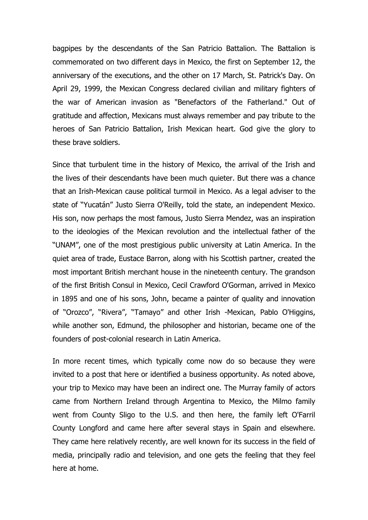bagpipes by the descendants of the San Patricio Battalion. The Battalion is commemorated on two different days in Mexico, the first on September 12, the anniversary of the executions, and the other on 17 March, St. Patrick's Day. On April 29, 1999, the Mexican Congress declared civilian and military fighters of the war of American invasion as "Benefactors of the Fatherland." Out of gratitude and affection, Mexicans must always remember and pay tribute to the heroes of San Patricio Battalion, Irish Mexican heart. God give the glory to these brave soldiers.

Since that turbulent time in the history of Mexico, the arrival of the Irish and the lives of their descendants have been much quieter. But there was a chance that an Irish-Mexican cause political turmoil in Mexico. As a legal adviser to the state of "Yucatán" Justo Sierra O'Reilly, told the state, an independent Mexico. His son, now perhaps the most famous, Justo Sierra Mendez, was an inspiration to the ideologies of the Mexican revolution and the intellectual father of the "UNAM", one of the most prestigious public university at Latin America. In the quiet area of trade, Eustace Barron, along with his Scottish partner, created the most important British merchant house in the nineteenth century. The grandson of the first British Consul in Mexico, Cecil Crawford O'Gorman, arrived in Mexico in 1895 and one of his sons, John, became a painter of quality and innovation of "Orozco", "Rivera", "Tamayo" and other Irish -Mexican, Pablo O'Higgins, while another son, Edmund, the philosopher and historian, became one of the founders of post-colonial research in Latin America.

In more recent times, which typically come now do so because they were invited to a post that here or identified a business opportunity. As noted above, your trip to Mexico may have been an indirect one. The Murray family of actors came from Northern Ireland through Argentina to Mexico, the Milmo family went from County Sligo to the U.S. and then here, the family left O'Farril County Longford and came here after several stays in Spain and elsewhere. They came here relatively recently, are well known for its success in the field of media, principally radio and television, and one gets the feeling that they feel here at home.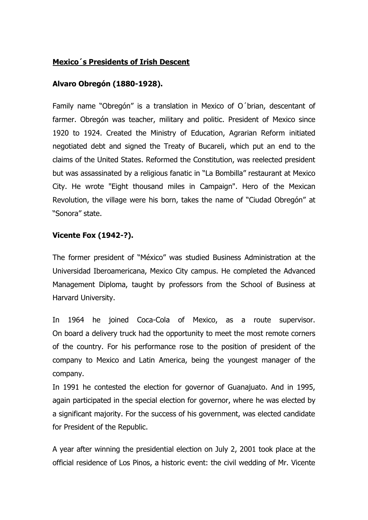#### **Mexico´s Presidents of Irish Descent**

#### **Alvaro Obregón (1880-1928).**

Family name "Obregón" is a translation in Mexico of O´brian, descentant of farmer. Obregón was teacher, military and politic. President of Mexico since 1920 to 1924. Created the Ministry of Education, Agrarian Reform initiated negotiated debt and signed the Treaty of Bucareli, which put an end to the claims of the United States. Reformed the Constitution, was reelected president but was assassinated by a religious fanatic in "La Bombilla" restaurant at Mexico City. He wrote "Eight thousand miles in Campaign". Hero of the Mexican Revolution, the village were his born, takes the name of "Ciudad Obregón" at "Sonora" state.

## **Vicente Fox (1942-?).**

The former president of "México" was studied Business Administration at the Universidad Iberoamericana, Mexico City campus. He completed the Advanced Management Diploma, taught by professors from the School of Business at Harvard University.

In 1964 he joined Coca-Cola of Mexico, as a route supervisor. On board a delivery truck had the opportunity to meet the most remote corners of the country. For his performance rose to the position of president of the company to Mexico and Latin America, being the youngest manager of the company.

In 1991 he contested the election for governor of Guanajuato. And in 1995, again participated in the special election for governor, where he was elected by a significant majority. For the success of his government, was elected candidate for President of the Republic.

A year after winning the presidential election on July 2, 2001 took place at the official residence of Los Pinos, a historic event: the civil wedding of Mr. Vicente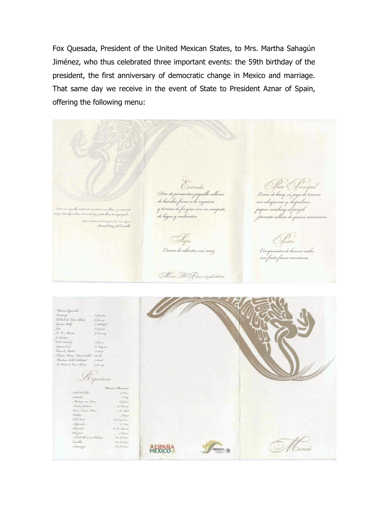Fox Quesada, President of the United Mexican States, to Mrs. Martha Sahagún Jiménez, who thus celebrated three important events: the 59th birthday of the president, the first anniversary of democratic change in Mexico and marriage. That same day we receive in the event of State to President Aznar of Spain, offering the following menu:

Olato Frincipal<br>2omo de buey, en jugo de ternera Ontrada Dúo de pimientos piquillo rellenos<br>de bacalao fresco a la vizcaína con alcaparras y chapulines, y terrina de foi gras con su compota apas cambray al perejil, ucho aji, y teda llenu de de higos y melocotón pa de la Conquista de las Nueva España<br>(Berrixal Diezz de l'Eesstelle, Contre<br>Composición de huevos realos<br>con fruta fresca mexicana Iopa<br>Crema de cilantro con nuez Móxico, D. F. lunos 2 de julio del 2001.

| Missica Española<br>Romanza<br>El Baile de Luis Alonso<br>España Wally<br>John<br>En E. Mundo<br>J. Quintero<br>Ciclo Andaluz<br>España Caño<br>Rosa de Madril<br>El Gate Montes (Daso Duble)<br>Mouttain Belle (Achottis)<br>La Boda de Luís Alonso | E. Greenwhee<br>J. Jimmey<br>& Waldwight<br>& Gramades<br>J. Tennisky<br>the General<br>D. Hargains<br>L' Clinica<br>Benella<br>E. Kinkel<br><i>J. Jonang</i><br>Repertorio    |         |        |  |
|------------------------------------------------------------------------------------------------------------------------------------------------------------------------------------------------------------------------------------------------------|--------------------------------------------------------------------------------------------------------------------------------------------------------------------------------|---------|--------|--|
| Sobre las Obas<br>Soñadar<br>Merir par ta Amar<br>Dristos Jardines<br>Diene Namea Muere<br>Violetas<br>Club Derde<br>Alejandra<br>Recuerdo<br>Olimpica<br>Ala Orilla de un Dalmar                                                                    | Missica Mexicana<br>J. Roses<br>250mg<br>A. Guine<br>J. Martinez<br>. M. Allenla<br>J. George<br>St. Campulinia<br>E. Min<br>.S. W. Stearado<br>J. Herman<br>. M. S. K. France |         |        |  |
| Estrellita<br>Intermeye                                                                                                                                                                                                                              | . W. M. Donne<br>M. M. Roin                                                                                                                                                    | MEXICOA | MÉXICO |  |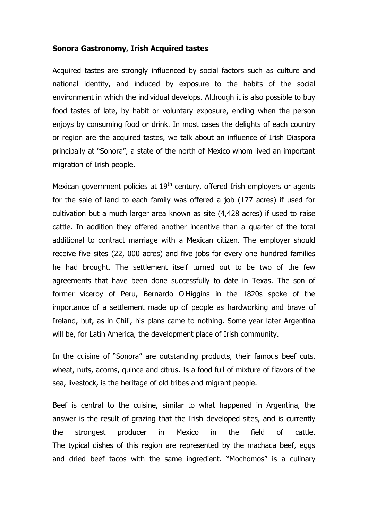#### **Sonora Gastronomy, Irish Acquired tastes**

Acquired tastes are strongly influenced by social factors such as culture and national identity, and induced by exposure to the habits of the social environment in which the individual develops. Although it is also possible to buy food tastes of late, by habit or voluntary exposure, ending when the person enjoys by consuming food or drink. In most cases the delights of each country or region are the acquired tastes, we talk about an influence of Irish Diaspora principally at "Sonora", a state of the north of Mexico whom lived an important migration of Irish people.

Mexican government policies at 19<sup>th</sup> century, offered Irish employers or agents for the sale of land to each family was offered a job (177 acres) if used for cultivation but a much larger area known as site (4,428 acres) if used to raise cattle. In addition they offered another incentive than a quarter of the total additional to contract marriage with a Mexican citizen. The employer should receive five sites (22, 000 acres) and five jobs for every one hundred families he had brought. The settlement itself turned out to be two of the few agreements that have been done successfully to date in Texas. The son of former viceroy of Peru, Bernardo O'Higgins in the 1820s spoke of the importance of a settlement made up of people as hardworking and brave of Ireland, but, as in Chili, his plans came to nothing. Some year later Argentina will be, for Latin America, the development place of Irish community.

In the cuisine of "Sonora" are outstanding products, their famous beef cuts, wheat, nuts, acorns, quince and citrus. Is a food full of mixture of flavors of the sea, livestock, is the heritage of old tribes and migrant people.

Beef is central to the cuisine, similar to what happened in Argentina, the answer is the result of grazing that the Irish developed sites, and is currently the strongest producer in Mexico in the field of cattle. The typical dishes of this region are represented by the machaca beef, eggs and dried beef tacos with the same ingredient. "Mochomos" is a culinary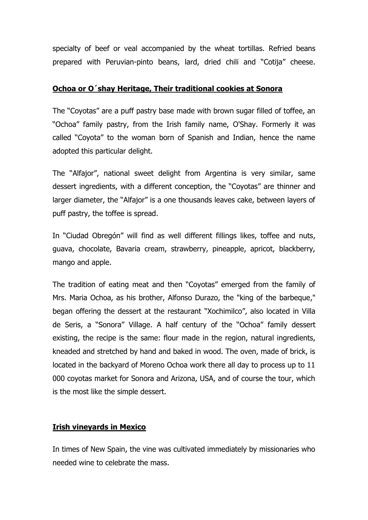specialty of beef or veal accompanied by the wheat tortillas. Refried beans prepared with Peruvian-pinto beans, lard, dried chili and "Cotija" cheese.

#### **Ochoa or O´shay Heritage, Their traditional cookies at Sonora**

The "Coyotas" are a puff pastry base made with brown sugar filled of toffee, an "Ochoa" family pastry, from the Irish family name, O'Shay. Formerly it was called "Coyota" to the woman born of Spanish and Indian, hence the name adopted this particular delight.

The "Alfajor", national sweet delight from Argentina is very similar, same dessert ingredients, with a different conception, the "Coyotas" are thinner and larger diameter, the "Alfajor" is a one thousands leaves cake, between layers of puff pastry, the toffee is spread.

In "Ciudad Obregón" will find as well different fillings likes, toffee and nuts, guava, chocolate, Bavaria cream, strawberry, pineapple, apricot, blackberry, mango and apple.

The tradition of eating meat and then "Coyotas" emerged from the family of Mrs. Maria Ochoa, as his brother, Alfonso Durazo, the "king of the barbeque," began offering the dessert at the restaurant "Xochimilco", also located in Villa de Seris, a "Sonora" Village. A half century of the "Ochoa" family dessert existing, the recipe is the same: flour made in the region, natural ingredients, kneaded and stretched by hand and baked in wood. The oven, made of brick, is located in the backyard of Moreno Ochoa work there all day to process up to 11 000 coyotas market for Sonora and Arizona, USA, and of course the tour, which is the most like the simple dessert.

## **Irish vineyards in Mexico**

In times of New Spain, the vine was cultivated immediately by missionaries who needed wine to celebrate the mass.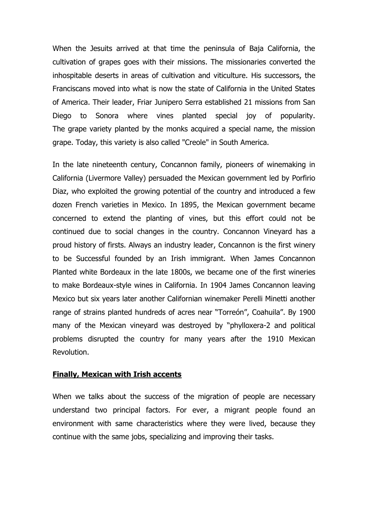When the Jesuits arrived at that time the peninsula of Baja California, the cultivation of grapes goes with their missions. The missionaries converted the inhospitable deserts in areas of cultivation and viticulture. His successors, the Franciscans moved into what is now the state of California in the United States of America. Their leader, Friar Junipero Serra established 21 missions from San Diego to Sonora where vines planted special joy of popularity. The grape variety planted by the monks acquired a special name, the mission grape. Today, this variety is also called "Creole" in South America.

In the late nineteenth century, Concannon family, pioneers of winemaking in California (Livermore Valley) persuaded the Mexican government led by Porfirio Diaz, who exploited the growing potential of the country and introduced a few dozen French varieties in Mexico. In 1895, the Mexican government became concerned to extend the planting of vines, but this effort could not be continued due to social changes in the country. Concannon Vineyard has a proud history of firsts. Always an industry leader, Concannon is the first winery to be Successful founded by an Irish immigrant. When James Concannon Planted white Bordeaux in the late 1800s, we became one of the first wineries to make Bordeaux-style wines in California. In 1904 James Concannon leaving Mexico but six years later another Californian winemaker Perelli Minetti another range of strains planted hundreds of acres near "Torreón", Coahuila". By 1900 many of the Mexican vineyard was destroyed by "phylloxera-2 and political problems disrupted the country for many years after the 1910 Mexican Revolution.

#### **Finally, Mexican with Irish accents**

When we talks about the success of the migration of people are necessary understand two principal factors. For ever, a migrant people found an environment with same characteristics where they were lived, because they continue with the same jobs, specializing and improving their tasks.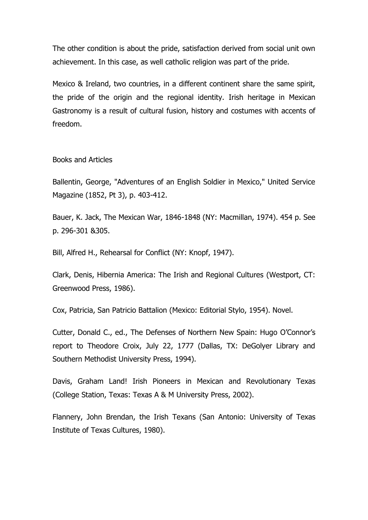The other condition is about the pride, satisfaction derived from social unit own achievement. In this case, as well catholic religion was part of the pride.

Mexico & Ireland, two countries, in a different continent share the same spirit, the pride of the origin and the regional identity. Irish heritage in Mexican Gastronomy is a result of cultural fusion, history and costumes with accents of freedom.

Books and Articles

Ballentin, George, "Adventures of an English Soldier in Mexico," United Service Magazine (1852, Pt 3), p. 403-412.

Bauer, K. Jack, The Mexican War, 1846-1848 (NY: Macmillan, 1974). 454 p. See p. 296-301 &305.

Bill, Alfred H., Rehearsal for Conflict (NY: Knopf, 1947).

Clark, Denis, Hibernia America: The Irish and Regional Cultures (Westport, CT: Greenwood Press, 1986).

Cox, Patricia, San Patricio Battalion (Mexico: Editorial Stylo, 1954). Novel.

Cutter, Donald C., ed., The Defenses of Northern New Spain: Hugo O'Connor's report to Theodore Croix, July 22, 1777 (Dallas, TX: DeGolyer Library and Southern Methodist University Press, 1994).

Davis, Graham Land! Irish Pioneers in Mexican and Revolutionary Texas (College Station, Texas: Texas A & M University Press, 2002).

Flannery, John Brendan, the Irish Texans (San Antonio: University of Texas Institute of Texas Cultures, 1980).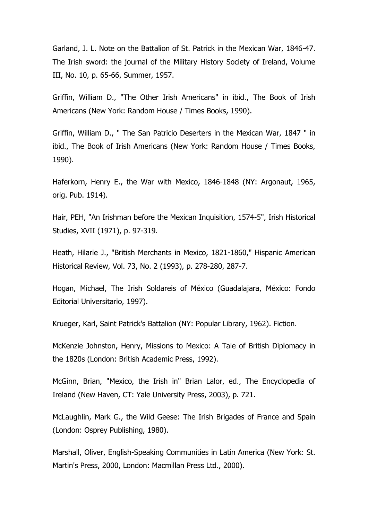Garland, J. L. Note on the Battalion of St. Patrick in the Mexican War, 1846-47. The Irish sword: the journal of the Military History Society of Ireland, Volume III, No. 10, p. 65-66, Summer, 1957.

Griffin, William D., "The Other Irish Americans" in ibid., The Book of Irish Americans (New York: Random House / Times Books, 1990).

Griffin, William D., " The San Patricio Deserters in the Mexican War, 1847 " in ibid., The Book of Irish Americans (New York: Random House / Times Books, 1990).

Haferkorn, Henry E., the War with Mexico, 1846-1848 (NY: Argonaut, 1965, orig. Pub. 1914).

Hair, PEH, "An Irishman before the Mexican Inquisition, 1574-5", Irish Historical Studies, XVII (1971), p. 97-319.

Heath, Hilarie J., "British Merchants in Mexico, 1821-1860," Hispanic American Historical Review, Vol. 73, No. 2 (1993), p. 278-280, 287-7.

Hogan, Michael, The Irish Soldareis of México (Guadalajara, México: Fondo Editorial Universitario, 1997).

Krueger, Karl, Saint Patrick's Battalion (NY: Popular Library, 1962). Fiction.

McKenzie Johnston, Henry, Missions to Mexico: A Tale of British Diplomacy in the 1820s (London: British Academic Press, 1992).

McGinn, Brian, "Mexico, the Irish in" Brian Lalor, ed., The Encyclopedia of Ireland (New Haven, CT: Yale University Press, 2003), p. 721.

McLaughlin, Mark G., the Wild Geese: The Irish Brigades of France and Spain (London: Osprey Publishing, 1980).

Marshall, Oliver, English-Speaking Communities in Latin America (New York: St. Martin's Press, 2000, London: Macmillan Press Ltd., 2000).